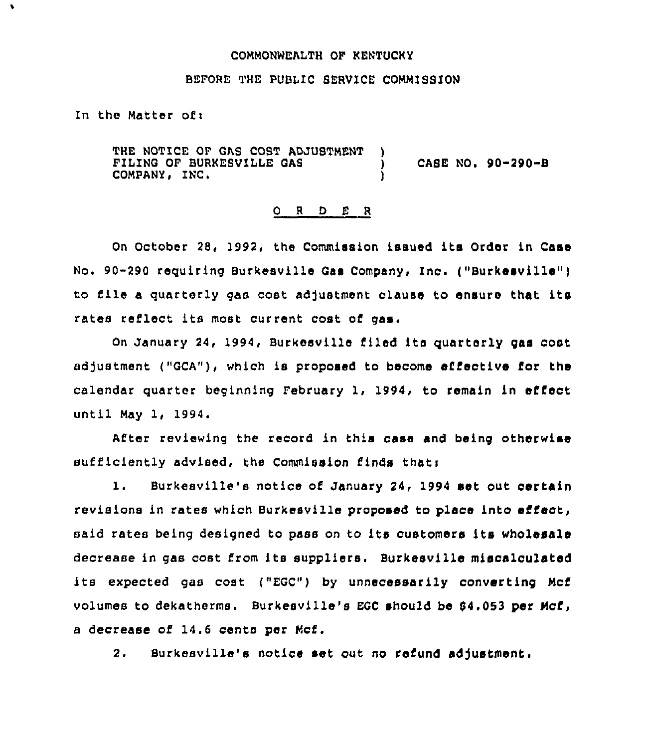## COMMONNEALTH OF KENTUCKY

## BEFORE THE PUBLIC SERVICE COMMISSION

In the Matter of  $t$ 

 $\bullet$ 

THE NOTICE OF QAS COST ADJUSTMENT FILING OF BURKESUILLE QAS COMPANY, INC. )<br>) ) CASE NO <sup>~</sup> 90-290-8 )

## 0 <sup>R</sup> <sup>D</sup> E R

On October 28, 1992, the Commission issued its Order in Case No. 90-290 requiring Burkesville Gas Company, Inc. ("Burkesville") to file a quarterly gas cost adjustment clause to ensure that its rates reflect its most current cost of gas.

On January 24, 1994, Burkesville filed ita quarterly gas cost adjustment ("GCA"), which is proposed to become effective for the calendar quarter beginning February 1, 1994, to remain in effect until May 1, 1994.

After reviewing the record in this case and being otherwise sufficiently advised, the Commission finds thati

l. Burkesville's notice of January 24, <sup>1994</sup> set out certain revisions in rates which Burkesville proposed to place into effect, said rates being designed to pass on to its customers its wholesale decrease in gas cost from its suppliers. Burkesville miscalculated its expected gas cost ("EGC") by unnecessarily converting Mcf volumes to dekatherms. Burkesville's EGC should be 04.053 per Mcf, a decrease of 14.6 cents per Mcf.

2. Burkesville's notice set out no refund adjustment.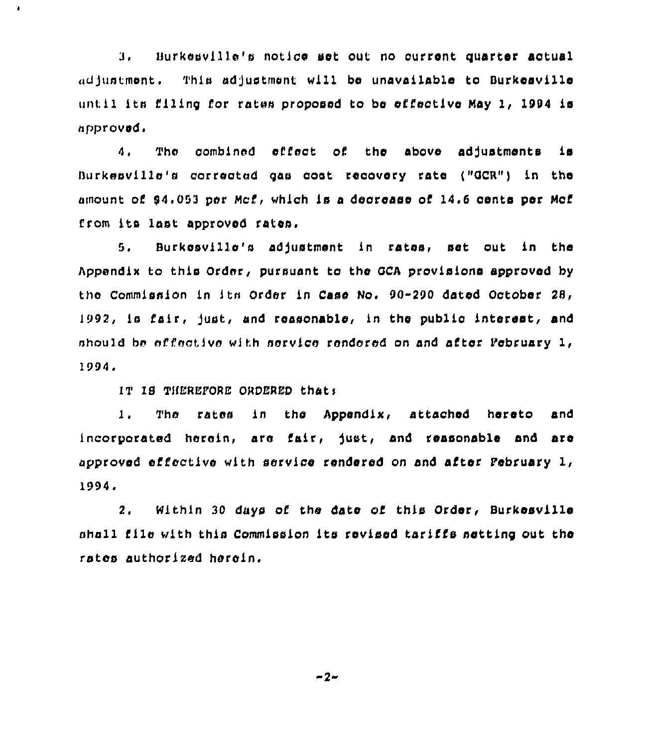3. Hurkeuvllle's notice set out no current quarter actual adjustment. This adjustment will be unavailable to Burkesville until its filing for rates proposed to be sfl'ective Hay 1, 1994 ls approved.

 $4.1$ The combined effect of the above adjustments is Burkesville's corrected gas cost recovery rate ("GCR") in the amount of 94,053 per Mcf, which is a decrease of 14.6 cents per Mcf from its last approved rates,

8, Surkesvllle's adJustment in rates, set out ln the Appendix to this Order, pursuant to the QCA provisions approved by tho Commission ln ltn Order ln Case No. 90-290 dated October 28, l992, ls fair, Just, and reasonable, ln the public interest, and nhould be effective with service rendered on and after Pebrusry 1, 1994.

IT IS THEREFORE ORDERED that:

 $\mathbf{r}$ 

I, The rates ln the Appendix, attached hereto and incorporated herein, are fair, fust, and reasonable and are approved effective with service rendered on and after Pebruary 1, 1994.

2. Within 30 days of the date of this Order, Surkesville shell flic with this Commlsslon its revised tariffs setting out the rates authorized herein.

 $-2-$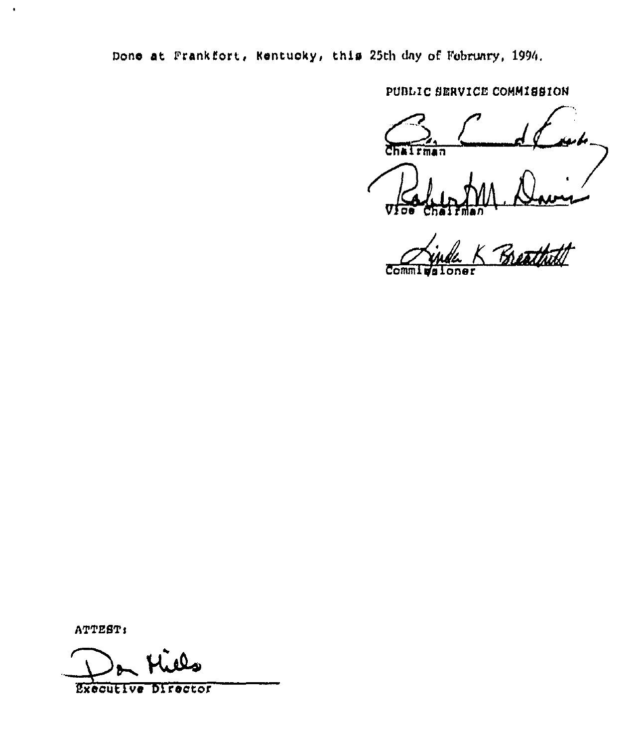Done at Frankfort, Kentucky, this 25th day of February, 1994.

PUBLIC SERVICE COMMISSION

 $\overline{m}$ an

Breath  $Comm<sub>L</sub>$ 

ATTEST:

 $\bullet$ 

Executive Director